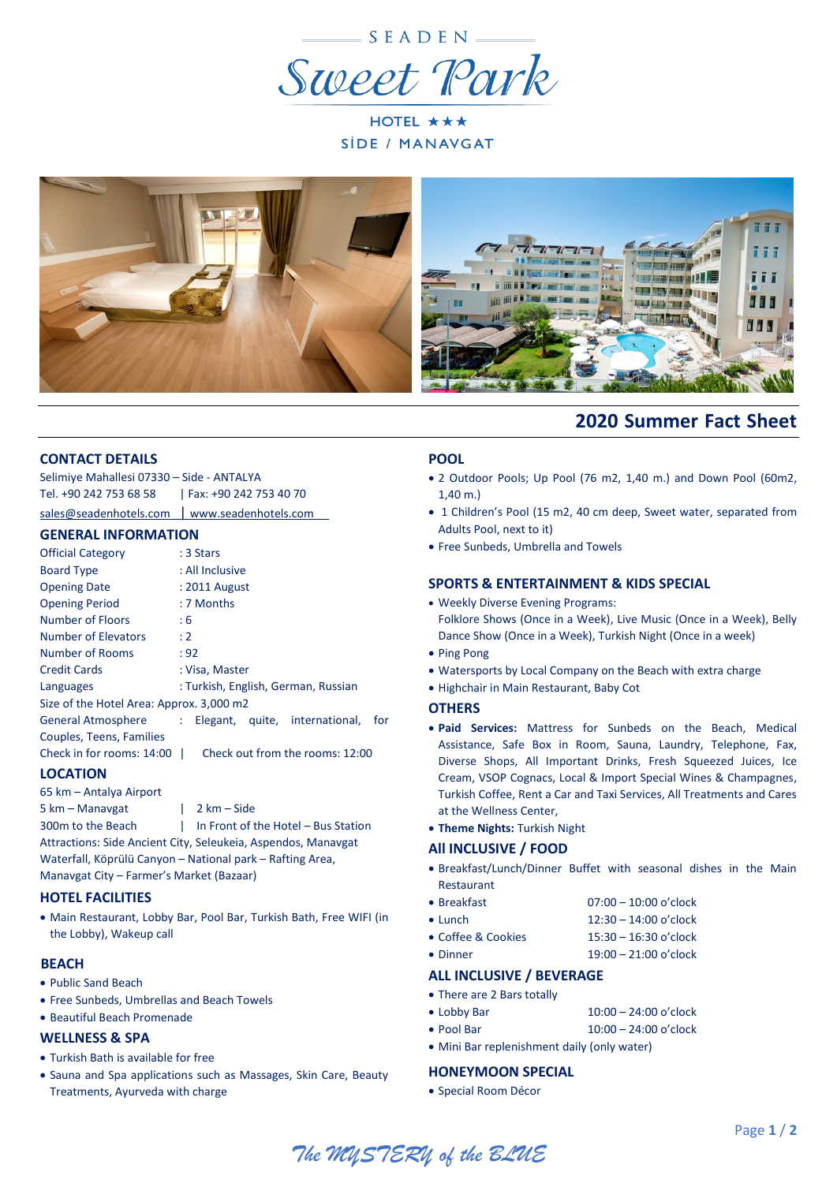

HOTEL ★★★ SIDE / MANAVGAT





## **CONTACT DETAILS**

| Selimiye Mahallesi 07330 - Side - ANTALYA     |                        |  |  |  |  |  |
|-----------------------------------------------|------------------------|--|--|--|--|--|
| Tel. +90 242 753 68 58                        | Fax: +90 242 753 40 70 |  |  |  |  |  |
| sales@seadenhotels.com   www.seadenhotels.com |                        |  |  |  |  |  |

## **GENERAL INFORMATION**

|                                                     | <u>ULIVLIVAL IIVI VINIMITIVIV</u>   |           |  |                                 |     |  |  |
|-----------------------------------------------------|-------------------------------------|-----------|--|---------------------------------|-----|--|--|
| <b>Official Category</b>                            |                                     | : 3 Stars |  |                                 |     |  |  |
| <b>Board Type</b>                                   | : All Inclusive                     |           |  |                                 |     |  |  |
| <b>Opening Date</b>                                 | : 2011 August                       |           |  |                                 |     |  |  |
| <b>Opening Period</b>                               | : 7 Months                          |           |  |                                 |     |  |  |
| Number of Floors                                    | : 6                                 |           |  |                                 |     |  |  |
| Number of Elevators                                 | : 2                                 |           |  |                                 |     |  |  |
| Number of Rooms                                     | : 92                                |           |  |                                 |     |  |  |
| <b>Credit Cards</b>                                 | : Visa, Master                      |           |  |                                 |     |  |  |
| Languages                                           | : Turkish, English, German, Russian |           |  |                                 |     |  |  |
| Size of the Hotel Area: Approx. 3,000 m2            |                                     |           |  |                                 |     |  |  |
| General Atmosphere : Elegant, quite, international, |                                     |           |  |                                 | for |  |  |
| Couples, Teens, Families                            |                                     |           |  |                                 |     |  |  |
| Check in for rooms: 14:00                           |                                     |           |  | Check out from the rooms: 12:00 |     |  |  |
|                                                     |                                     |           |  |                                 |     |  |  |

# **LOCATION**

65 km – Antalya Airport 5 km – Manavgat I 2 km – Side

300m to the Beach | In Front of the Hotel – Bus Station Attractions: Side Ancient City, Seleukeia, Aspendos, Manavgat Waterfall, Köprülü Canyon – National park – Rafting Area, Manavgat City – Farmer's Market (Bazaar)

## **HOTEL FACILITIES**

 Main Restaurant, Lobby Bar, Pool Bar, Turkish Bath, Free WIFI (in the Lobby), Wakeup call

## **BEACH**

- Public Sand Beach
- Free Sunbeds, Umbrellas and Beach Towels
- Beautiful Beach Promenade

## **WELLNESS & SPA**

- Turkish Bath is available for free
- Sauna and Spa applications such as Massages, Skin Care, Beauty Treatments, Ayurveda with charge

# **POOL**

 2 Outdoor Pools; Up Pool (76 m2, 1,40 m.) and Down Pool (60m2, 1,40 m.)

 **2020 Summer Fact Sheet**

- 1 Children's Pool (15 m2, 40 cm deep, Sweet water, separated from Adults Pool, next to it)
- Free Sunbeds, Umbrella and Towels

## **SPORTS & ENTERTAINMENT & KIDS SPECIAL**

- Weekly Diverse Evening Programs: Folklore Shows (Once in a Week), Live Music (Once in a Week), Belly Dance Show (Once in a Week), Turkish Night (Once in a week)
- Ping Pong
- Watersports by Local Company on the Beach with extra charge
- Highchair in Main Restaurant, Baby Cot

### **OTHERS**

- **Paid Services:** Mattress for Sunbeds on the Beach, Medical Assistance, Safe Box in Room, Sauna, Laundry, Telephone, Fax, Diverse Shops, All Important Drinks, Fresh Squeezed Juices, Ice Cream, VSOP Cognacs, Local & Import Special Wines & Champagnes, Turkish Coffee, Rent a Car and Taxi Services, All Treatments and Cares at the Wellness Center,
- **Theme Nights:** Turkish Night

## **All INCLUSIVE / FOOD**

- Breakfast/Lunch/Dinner Buffet with seasonal dishes in the Main Restaurant
- Breakfast 07:00 10:00 o'clock
- Lunch  $12:30 14:00$  o'clock
- Coffee & Cookies 15:30 16:30 o'clock
- Dinner 19:00 21:00 o'clock

## **ALL INCLUSIVE / BEVERAGE**

- There are 2 Bars totally
- Lobby Bar 10:00 24:00 o'clock
- Pool Bar 10:00 24:00 o'clock
- Mini Bar replenishment daily (only water)

# **HONEYMOON SPECIAL**

Special Room Décor

*The MYSTERY of the BLUE*